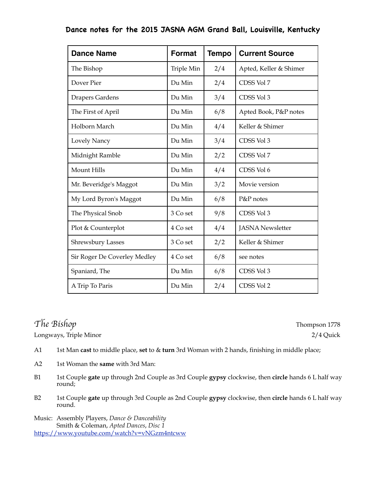| <b>Dance Name</b>            | <b>Format</b> | <b>Tempo</b> | <b>Current Source</b>   |
|------------------------------|---------------|--------------|-------------------------|
| The Bishop                   | Triple Min    | 2/4          | Apted, Keller & Shimer  |
| Dover Pier                   | Du Min        | 2/4          | CDSS Vol 7              |
| <b>Drapers Gardens</b>       | Du Min        | 3/4          | CDSS Vol 3              |
| The First of April           | Du Min        | 6/8          | Apted Book, P&P notes   |
| Holborn March                | Du Min        | 4/4          | Keller & Shimer         |
| Lovely Nancy                 | Du Min        | 3/4          | CDSS Vol 3              |
| Midnight Ramble              | Du Min        | 2/2          | CDSS Vol 7              |
| Mount Hills                  | Du Min        | 4/4          | CDSS Vol 6              |
| Mr. Beveridge's Maggot       | Du Min        | 3/2          | Movie version           |
| My Lord Byron's Maggot       | Du Min        | 6/8          | P&P notes               |
| The Physical Snob            | 3 Co set      | 9/8          | CDSS Vol 3              |
| Plot & Counterplot           | 4 Co set      | 4/4          | <b>JASNA</b> Newsletter |
| <b>Shrewsbury Lasses</b>     | 3 Co set      | 2/2          | Keller & Shimer         |
| Sir Roger De Coverley Medley | 4 Co set      | 6/8          | see notes               |
| Spaniard, The                | Du Min        | 6/8          | CDSS Vol 3              |
| A Trip To Paris              | Du Min        | 2/4          | CDSS Vol 2              |

# *The Bishop* Thompson 1778

Longways, Triple Minor 2/4 Quick

- A1 1st Man **cast** to middle place, **set** to & **turn** 3rd Woman with 2 hands, finishing in middle place;
- A2 1st Woman the **same** with 3rd Man:
- B1 1st Couple **gate** up through 2nd Couple as 3rd Couple **gypsy** clockwise, then **circle** hands 6 L half way round;
- B2 1st Couple **gate** up through 3rd Couple as 2nd Couple **gypsy** clockwise, then **circle** hands 6 L half way round.

Music: Assembly Players, *Dance & Danceability* Smith & Coleman, *Apted Dances*, *Disc 1* https://www.youtube.com/watch?v=vNGzm4ntcww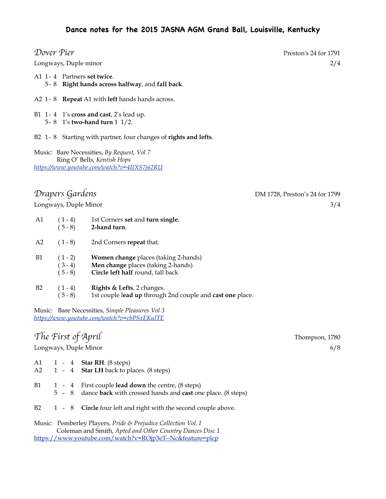| Dover Pier                   |                                          |                                                                                                                          | Preston's 24 for 1791                 |
|------------------------------|------------------------------------------|--------------------------------------------------------------------------------------------------------------------------|---------------------------------------|
| Longways, Duple minor<br>2/4 |                                          |                                                                                                                          |                                       |
|                              | A1 1-4 Partners set twice.               | 5-8 Right hands across halfway, and fall back.                                                                           |                                       |
|                              |                                          | A2 1-8 Repeat A1 with left hands hands across.                                                                           |                                       |
|                              |                                          | B1 $1 - 4$ 1's cross and cast, 2's lead up.<br>5 - 8 1's two-hand turn $1 \frac{1}{2}$ .                                 |                                       |
|                              |                                          | B2 1 - 8 Starting with partner, four changes of rights and lefts.                                                        |                                       |
|                              |                                          | Music: Bare Necessities, By Request, Vol 7<br>Ring O' Bells, Kentish Hops<br>https://www.youtube.com/watch?v=4IIXS7j62RU |                                       |
|                              | Drapers Gardens<br>Longways, Duple Minor |                                                                                                                          | DM 1728, Preston's 24 for 1799<br>3/4 |
| A1                           | $(1-4)$                                  | 1st Corners set and turn single,                                                                                         |                                       |
| A2                           | $(5-8)$<br>$(1-8)$                       | 2-hand turn.<br>2nd Corners repeat that.                                                                                 |                                       |
| <b>B1</b>                    | $(1 - 2)$<br>$(3-4)$<br>$(5 - 8)$        | <b>Women change</b> places (taking 2-hands)<br>Men change places (taking 2-hands)<br>Circle left half round, fall back   |                                       |
| B2                           | $(1-4)$<br>$(5 - 8)$                     | Rights & Lefts, 2 changes.<br>1st couple lead up through 2nd couple and cast one place.                                  |                                       |
|                              |                                          | Music: Bare Necessities, Simple Pleasures Vol 3<br>https://www.youtube.com/watch?v=cbPSxEKulTE                           |                                       |
|                              | The First of April                       |                                                                                                                          | Thompson, 1780                        |
| Longways, Duple Minor        |                                          | 6/8                                                                                                                      |                                       |

- A1 1 4 **Star RH**. (8 steps)
- A2 1 4 **Star LH** back to places. (8 steps)
- B1 1 4 First couple **lead down** the centre, (8 steps) 5 - 8 dance **back** with crossed hands and **cast** one place. (8 steps)
- B2 1 8 **Circle** four left and right with the second couple above.

Music: Pemberley Players, *Pride & Prejudice Collection Vol. I* Coleman and Smith*, Apted and Other Country Dances Disc 1* https://www.youtube.com/watch?v=ROjp3eT--Nc&feature=plcp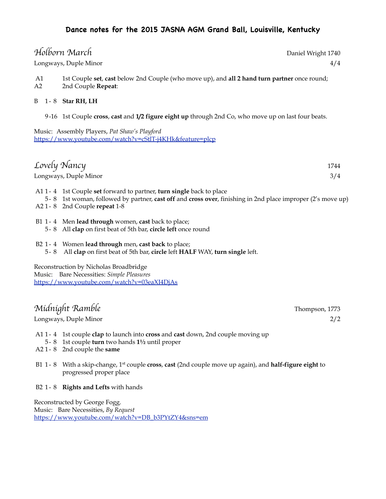|              | Holborn March<br>Longways, Duple Minor                                                                                                                                                                             | Daniel Wright 1740<br>4/4 |
|--------------|--------------------------------------------------------------------------------------------------------------------------------------------------------------------------------------------------------------------|---------------------------|
| A1<br>A2     | 1st Couple set, cast below 2nd Couple (who move up), and all 2 hand turn partner once round;<br>2nd Couple Repeat:                                                                                                 |                           |
| $\mathbf{B}$ | 1 - 8 <b>Star RH</b> , LH                                                                                                                                                                                          |                           |
|              | 9-16 1st Couple cross, cast and 1/2 figure eight up through 2nd Co, who move up on last four beats.                                                                                                                |                           |
|              | Music: Assembly Players, Pat Shaw's Playford<br>https://www.youtube.com/watch?v=cStlT-j4KHk&feature=plcp                                                                                                           |                           |
|              | Lovely Nancy                                                                                                                                                                                                       | 1744                      |
|              | Longways, Duple Minor                                                                                                                                                                                              | 3/4                       |
|              | A11-4 1st Couple set forward to partner, turn single back to place<br>5-8 1st woman, followed by partner, cast off and cross over, finishing in 2nd place improper (2's move up)<br>A2 1 - 8 2nd Couple repeat 1-8 |                           |
|              | B1 1-4 Men lead through women, cast back to place;<br>5-8 All clap on first beat of 5th bar, circle left once round                                                                                                |                           |
|              | B2 1-4 Women lead through men, cast back to place;                                                                                                                                                                 |                           |

5 - 8 All **clap** on first beat of 5th bar, **circle** left **HALF** WAY, **turn single** left.

Reconstruction by Nicholas Broadbridge Music: Bare Necessities: *Simple Pleasures* https://www.youtube.com/watch?v=03eaXI4DjAs

# *Midnight Ramble* Thompson, 1773

Longways, Duple Minor 2/2

- A1 1 4 1st couple **clap** to launch into **cross** and **cast** down, 2nd couple moving up
- 5 8 1st couple **turn** two hands **1½** until proper
- A2 1 8 2nd couple the **same**
- B1 1 8 With a skip-change, 1st couple **cross**, **cast** (2nd couple move up again), and **half-figure eight** to progressed proper place
- B2 1 8 **Rights and Lefts** with hands

Reconstructed by George Fogg. Music: Bare Necessities, *By Request* https://www.youtube.com/watch?v=DB\_b3PYtZY4&sns=em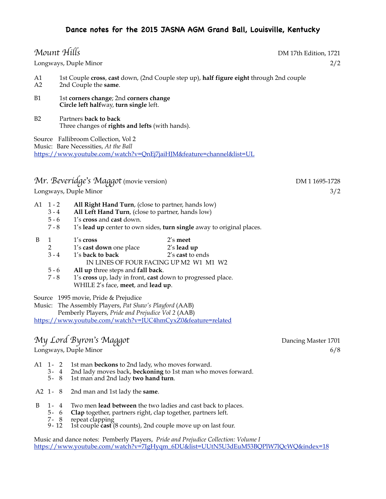|           | Mount Hills                                                     |                                                                                                                 | Longways, Duple Minor                                                                                                                                                                                                                               |                                                                       | DM 17th Edition, 1721<br>2/2 |
|-----------|-----------------------------------------------------------------|-----------------------------------------------------------------------------------------------------------------|-----------------------------------------------------------------------------------------------------------------------------------------------------------------------------------------------------------------------------------------------------|-----------------------------------------------------------------------|------------------------------|
| A1<br>A2  |                                                                 | 1st Couple cross, cast down, (2nd Couple step up), half figure eight through 2nd couple<br>2nd Couple the same. |                                                                                                                                                                                                                                                     |                                                                       |                              |
| <b>B1</b> |                                                                 | 1st corners change; 2nd corners change<br>Circle left halfway, turn single left.                                |                                                                                                                                                                                                                                                     |                                                                       |                              |
| B2        |                                                                 |                                                                                                                 | Partners back to back<br>Three changes of rights and lefts (with hands).                                                                                                                                                                            |                                                                       |                              |
|           |                                                                 |                                                                                                                 | Source Fallibroom Collection, Vol 2<br>Music: Bare Necessities, At the Ball                                                                                                                                                                         | https://www.youtube.com/watch?v=QnEj7jaiHJM&feature=channel&list=UL   |                              |
|           |                                                                 |                                                                                                                 | Mr. Beveridge's Maggot (movie version)<br>Longways, Duple Minor                                                                                                                                                                                     |                                                                       | DM 1 1695-1728<br>3/2        |
|           | $A1 \quad 1 - 2$<br>$3 - 4$<br>$5 - 6$<br>$7 - 8$               |                                                                                                                 | All Right Hand Turn, (close to partner, hands low)<br>All Left Hand Turn, (close to partner, hands low)<br>1's cross and cast down.                                                                                                                 | 1's lead up center to own sides, turn single away to original places. |                              |
| B         | $\mathbf{1}$<br>$\overline{2}$<br>$3 - 4$<br>$5 - 6$<br>$7 - 8$ |                                                                                                                 | 1's cross<br>1's <b>cast down</b> one place<br>1's back to back<br>IN LINES OF FOUR FACING UP M2 W1 M1 W2<br>All up three steps and fall back.<br>1's cross up, lady in front, cast down to progressed place.<br>WHILE 2's face, meet, and lead up. | $2's$ meet<br>$2's$ lead up<br>2's cast to ends                       |                              |
| Music:    |                                                                 |                                                                                                                 | Source 1995 movie, Pride & Prejudice<br>The Assembly Players, Pat Shaw's Playford (AAB)<br>Pemberly Players, Pride and Prejudice Vol 2 (AAB)<br>https://www.youtube.com/watch?v=JUC4hmCyxZ0&feature=related                                         |                                                                       |                              |
|           |                                                                 |                                                                                                                 | My Lord Byron's Maggot<br>Longways, Duple Minor                                                                                                                                                                                                     |                                                                       | Dancing Master 1701<br>6/8   |
| A1        | $1 - 2$<br>$3 - 4$                                              |                                                                                                                 | 1st man beckons to 2nd lady, who moves forward.                                                                                                                                                                                                     | 2nd lady moves back, beckoning to 1st man who moves forward.          |                              |

- 5 8 1st man and 2nd lady **two hand turn**.
- A2 1 8 2nd man and 1st lady the **same**.
- B 1- 4 Two men **lead between** the two ladies and cast back to places.<br>5- 6 Clap together, partners right, clap together, partners left.
	-
- 7 8 repeat clapping
- 5- 6 **Clap** together, partners right, clap together, partners left.<br>7- 8 repeat clapping<br>9- 12 1st couple **cast** (8 counts), 2nd couple move up on last for 9 - 12 1st couple **cast** (8 counts), 2nd couple move up on last four.

Music and dance notes: Pemberly Players, *Pride and Prejudice Collection: Volume I* https://www.youtube.com/watch?v=7IgHyqm\_6DU&list=UUtN5U3dEuM53BQPlW7lQcWQ&index=18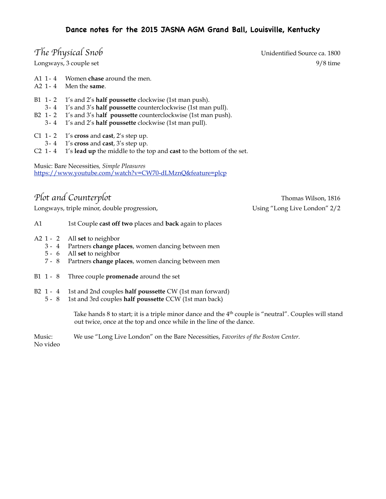|                                            | The Physical Snob                                                                                                                                                                                                                          | Unidentified Source ca. 1800 |
|--------------------------------------------|--------------------------------------------------------------------------------------------------------------------------------------------------------------------------------------------------------------------------------------------|------------------------------|
|                                            | Longways, 3 couple set                                                                                                                                                                                                                     | $9/8$ time                   |
| A1 1-4<br>$A2 1 - 4$                       | Women chase around the men.<br>Men the same.                                                                                                                                                                                               |                              |
| B1 1-2<br>$3 - 4$<br>$B2$ 1 - 2<br>$3 - 4$ | 1's and 2's half poussette clockwise (1st man push).<br>1's and 3's half poussette counterclockwise (1st man pull).<br>1's and 3's half poussette counterclockwise (1st man push).<br>1's and 2's half poussette clockwise (1st man pull). |                              |
| $C1$ 1 - 2<br>$3 - 4$<br>C2 1-4            | 1's cross and cast, 2's step up.<br>1's cross and cast, 3's step up.<br>1's lead up the middle to the top and cast to the bottom of the set.                                                                                               |                              |
|                                            | Music: Bare Necessities, Simple Pleasures<br>https://www.youtube.com/watch?v=CW70-dLMznQ&feature=plcp                                                                                                                                      |                              |
|                                            | Plot and Counterplot                                                                                                                                                                                                                       | Thomas Wilson, 1816          |
|                                            | Longways, triple minor, double progression,                                                                                                                                                                                                | Using "Long Live London" 2/2 |
| A1                                         | 1st Couple cast off two places and back again to places                                                                                                                                                                                    |                              |
| A2 1 - 2<br>$3 - 4$<br>$5 - 6$<br>$7 - 8$  | All set to neighbor<br>Partners change places, women dancing between men<br>All set to neighbor<br>Partners change places, women dancing between men                                                                                       |                              |
| B1 1 - 8                                   | Three couple <b>promenade</b> around the set                                                                                                                                                                                               |                              |
| B2 1 - 4<br>$5 - 8$                        | 1st and 2nd couples half poussette CW (1st man forward)<br>1st and 3rd couples half poussette CCW (1st man back)                                                                                                                           |                              |

Take hands 8 to start; it is a triple minor dance and the 4<sup>th</sup> couple is "neutral". Couples will stand out twice, once at the top and once while in the line of the dance.

Music: We use "Long Live London" on the Bare Necessities, *Favorites of the Boston Center.* No video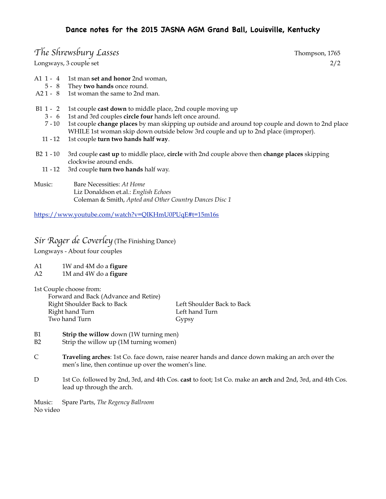## *The Shrewsbury Lasses* Thompson, 1765

Longways, 3 couple set 2/2

- A1 1 4 1st man **set and honor** 2nd woman,
- 5 8 They **two hands** once round.
- A2 1 8 1st woman the same to 2nd man.
- B1 1 2 1st couple **cast down** to middle place, 2nd couple moving up
	- 3 6 1st and 3rd couples **circle four** hands left once around.
	- 7 10 1st couple **change places** by man skipping up outside and around top couple and down to 2nd place WHILE 1st woman skip down outside below 3rd couple and up to 2nd place (improper).
	- 11 12 1st couple **turn two hands half way**.
- B2 1 10 3rd couple **cast up** to middle place, **circle** with 2nd couple above then **change places** skipping clockwise around ends.
	- 11 12 3rd couple **turn two hands** half way.
- Music: Bare Necessities: *At Home* Liz Donaldson et.al.: *English Echoes* Coleman & Smith, *Apted and Other Country Dances Disc 1*

https://www.youtube.com/watch?v=QIKHmU0PUqE#t=15m16s

## *Sir Roger de Coverley* (The Finishing Dance)

Longways - About four couples

- A1 1W and 4M do a **figure**
- A2 1M and 4W do a **figure**

| 1st Couple choose from:               |                            |
|---------------------------------------|----------------------------|
| Forward and Back (Advance and Retire) |                            |
| Right Shoulder Back to Back           | Left Shoulder Back to Back |
| Right hand Turn                       | Left hand Turn             |
| Two hand Turn                         | Gypsy                      |
|                                       |                            |

- B1 **Strip the willow** down (1W turning men)
- B2 Strip the willow up (1M turning women)
- C **Traveling arches**: 1st Co. face down, raise nearer hands and dance down making an arch over the men's line, then continue up over the women's line.
- D 1st Co. followed by 2nd, 3rd, and 4th Cos. **cast** to foot; 1st Co. make an **arch** and 2nd, 3rd, and 4th Cos. lead up through the arch.

Music: Spare Parts, *The Regency Ballroom* No video